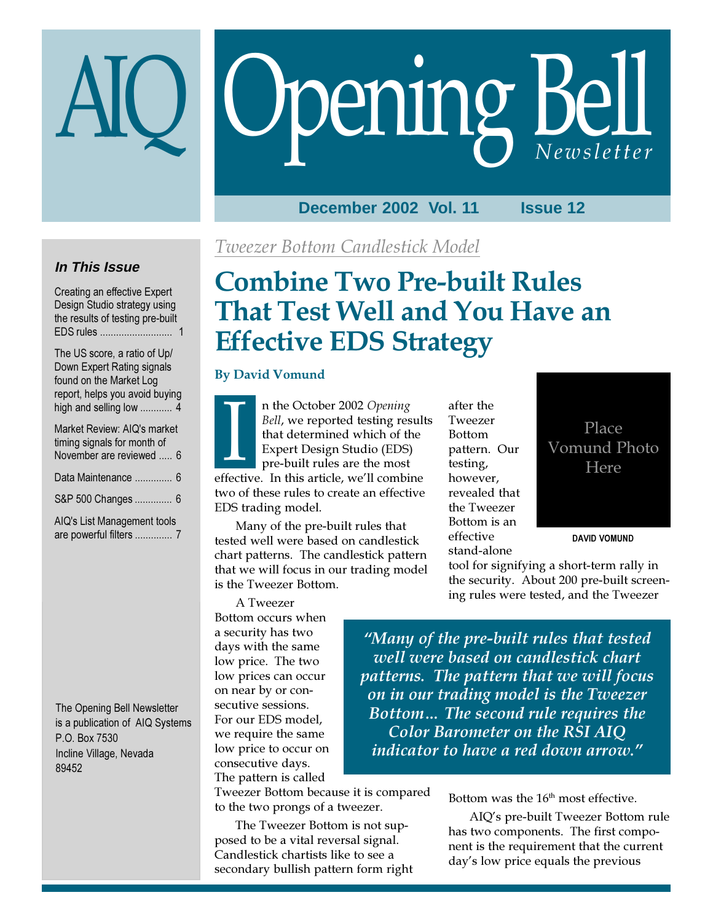# Opening Bell

## **December 2002 Vol. 11 Issue 12**

## **In This Issue**

Creating an effective Expert Design Studio strategy using the results of testing pre-built EDS rules ........................... 1

| The US score, a ratio of Up/<br>Down Expert Rating signals<br>found on the Market Log<br>report, helps you avoid buying<br>high and selling low  4 |
|----------------------------------------------------------------------------------------------------------------------------------------------------|
| Market Review: AIQ's market<br>timing signals for month of<br>November are reviewed  6                                                             |
| Data Maintenance  6                                                                                                                                |
| S&P 500 Changes  6                                                                                                                                 |
| AIQ's List Management tools<br>are powerful filters  7                                                                                             |
|                                                                                                                                                    |

The Opening Bell Newsletter is a publication of AIQ Systems P.O. Box 7530 Incline Village, Nevada 89452

## Tweezer Bottom Candlestick Model

# Combine Two Pre-built Rules That Test Well and You Have an Effective EDS Strategy

### By David Vomund

n the October 2002 Opening Bell, we reported testing results that determined which of the Expert Design Studio (EDS) pre-built rules are the most Fi die October 2002 Opening<br>
Bell, we reported testing resul<br>
that determined which of the<br>
Expert Design Studio (EDS)<br>
pre-built rules are the most<br>
effective. In this article, we'll combine two of these rules to create an effective EDS trading model.

Many of the pre-built rules that tested well were based on candlestick chart patterns. The candlestick pattern that we will focus in our trading model is the Tweezer Bottom.

A Tweezer Bottom occurs when a security has two days with the same low price. The two low prices can occur on near by or consecutive sessions. For our EDS model, we require the same low price to occur on consecutive days. The pattern is called

Tweezer Bottom because it is compared to the two prongs of a tweezer.

The Tweezer Bottom is not supposed to be a vital reversal signal. Candlestick chartists like to see a secondary bullish pattern form right after the Tweezer Bottom pattern. Our testing, however, revealed that the Tweezer Bottom is an effective stand-alone



DAVID VOMUND

tool for signifying a short-term rally in the security. About 200 pre-built screening rules were tested, and the Tweezer

"Many of the pre-built rules that tested well were based on candlestick chart patterns. The pattern that we will focus on in our trading model is the Tweezer Bottom… The second rule requires the Color Barometer on the RSI AIQ indicator to have a red down arrow."

Bottom was the  $16<sup>th</sup>$  most effective.

AIQ's pre-built Tweezer Bottom rule has two components. The first component is the requirement that the current day's low price equals the previous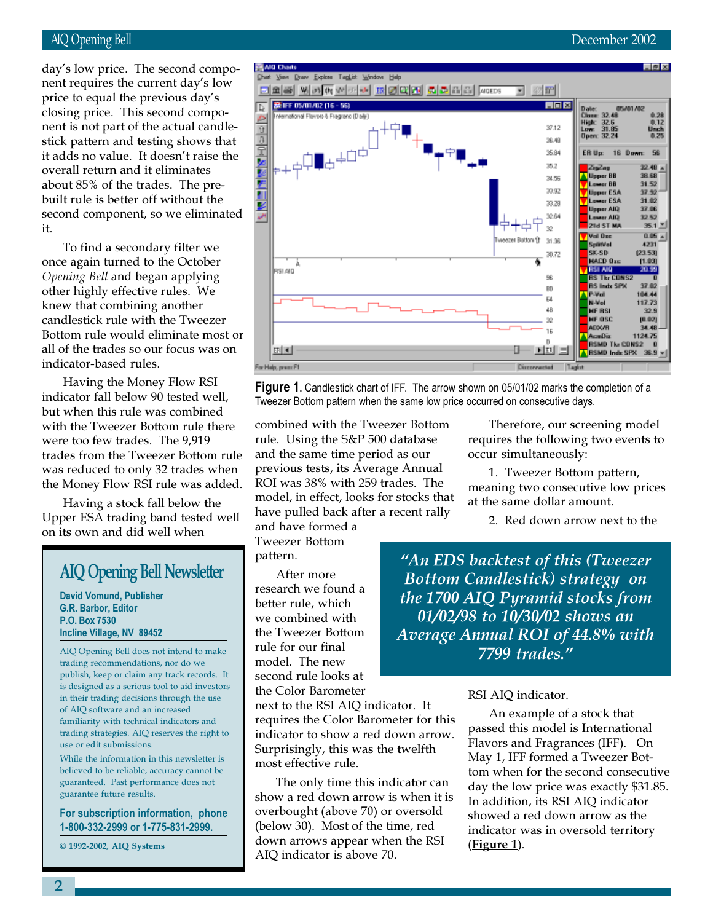#### AIQ Opening Bell December 2002

closing price. This second compoday's low price. The second component requires the current day's low price to equal the previous day's nent is not part of the actual candlestick pattern and testing shows that it adds no value. It doesn't raise the overall return and it eliminates about 85% of the trades. The prebuilt rule is better off without the second component, so we eliminated it.

To find a secondary filter we once again turned to the October Opening Bell and began applying other highly effective rules. We knew that combining another candlestick rule with the Tweezer Bottom rule would eliminate most or all of the trades so our focus was on indicator-based rules.

Having the Money Flow RSI indicator fall below 90 tested well, but when this rule was combined with the Tweezer Bottom rule there were too few trades. The 9,919 trades from the Tweezer Bottom rule was reduced to only 32 trades when the Money Flow RSI rule was added.

Having a stock fall below the Upper ESA trading band tested well on its own and did well when

# AIQ Opening Bell Newsletter

David Vomund, Publisher G.R. Barbor, Editor P.O. Box 7530 Incline Village, NV 89452

AIQ Opening Bell does not intend to make trading recommendations, nor do we publish, keep or claim any track records. It is designed as a serious tool to aid investors in their trading decisions through the use of AIQ software and an increased familiarity with technical indicators and trading strategies. AIQ reserves the right to use or edit submissions.

While the information in this newsletter is believed to be reliable, accuracy cannot be guaranteed. Past performance does not guarantee future results.

For subscription information, phone 1-800-332-2999 or 1-775-831-2999.

© 1992-2002, AIQ Systems



**Figure 1.** Candlestick chart of IFF. The arrow shown on 05/01/02 marks the completion of a Tweezer Bottom pattern when the same low price occurred on consecutive days.

combined with the Tweezer Bottom rule. Using the S&P 500 database and the same time period as our previous tests, its Average Annual ROI was 38% with 259 trades. The model, in effect, looks for stocks that have pulled back after a recent rally and have formed a

Tweezer Bottom pattern.

After more research we found a better rule, which we combined with the Tweezer Bottom rule for our final model. The new second rule looks at the Color Barometer

next to the RSI AIQ indicator. It requires the Color Barometer for this indicator to show a red down arrow. Surprisingly, this was the twelfth most effective rule.

The only time this indicator can show a red down arrow is when it is overbought (above 70) or oversold (below 30). Most of the time, red down arrows appear when the RSI AIQ indicator is above 70.

Therefore, our screening model requires the following two events to occur simultaneously:

1. Tweezer Bottom pattern, meaning two consecutive low prices at the same dollar amount.

2. Red down arrow next to the

"An EDS backtest of this (Tweezer Bottom Candlestick) strategy on the 1700 AIQ Pyramid stocks from 01/02/98 to 10/30/02 shows an Average Annual ROI of 44.8% with 7799 trades."

#### RSI AIQ indicator.

An example of a stock that passed this model is International Flavors and Fragrances (IFF). On May 1, IFF formed a Tweezer Bottom when for the second consecutive day the low price was exactly \$31.85. In addition, its RSI AIQ indicator showed a red down arrow as the indicator was in oversold territory  $(Figure 1)$ .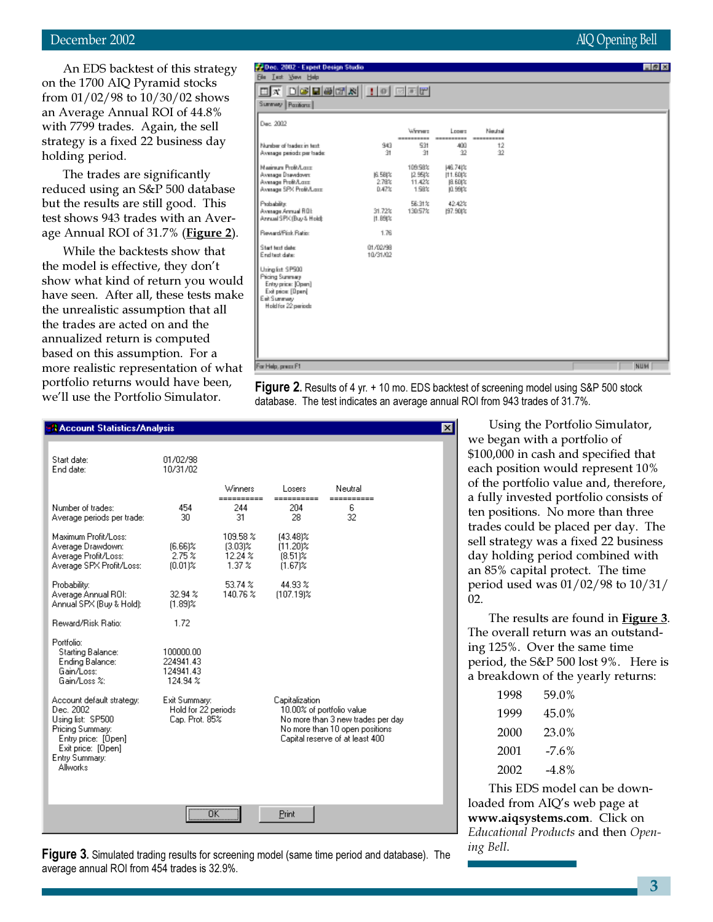#### December 2002 AIQ Opening Bell

An EDS backtest of this strategy on the 1700 AIQ Pyramid stocks from 01/02/98 to 10/30/02 shows an Average Annual ROI of 44.8% with 7799 trades. Again, the sell strategy is a fixed 22 business day holding period.

The trades are significantly reduced using an S&P 500 database but the results are still good. This test shows 943 trades with an Average Annual ROI of 31.7% (**Figure 2**).

While the backtests show that the model is effective, they don't show what kind of return you would have seen. After all, these tests make the unrealistic assumption that all the trades are acted on and the annualized return is computed based on this assumption. For a more realistic representation of what portfolio returns would have been, we'll use the Portfolio Simulator.

#### Dec. 2002 - Expert Design Studio  $\blacksquare$   $\theta$   $\times$ **Bie Ist Ven Heb** <u>ox deebs id dee</u> Summary Pasitions | Dec. 2002 Winner Looms Neutral Number of tradez in text 943 531 400  $12$ Average periods per trade  $\overline{31}$  $\overline{\mathfrak{D}}$  $\overline{32}$  $31$ Maginum Profit/Long 109.98% 146.741%  $\frac{12.95}{11.42}$ Avenage Drawdown<br>Avenage Profit/Long (G. 58)% 11.60(% 2.78% **BLED(%** Average SPX Profit/Lass 0.47% 1.58% 0.99(% 42.42% Probability 56.31% .<br>Avenage Annual ROI:<br>Annual SPX (Buy & Hold) 91.72% 197, 90t% 130.57%  $11.8913$ ward/Pisk Ratio 1.76 **Start text clater** 01/02/98 End test date 10/31/02 Using list SP500 hicing Summary Entryprice: (Open) Exit price: [Dpen] ink Summary<br>Hold for 22 periods For Help, press F1 NUM

| Figure 2. Results of 4 yr. + 10 mo. EDS backtest of screening model using S&P 500 stock |  |  |  |
|-----------------------------------------------------------------------------------------|--|--|--|
| database. The test indicates an average annual ROI from 943 trades of 31.7%.            |  |  |  |

| <b>A Account Statistics/Analysis</b>                                                                                                                              |                                                        |                                                          |                                                                                                                                                       |                       | $\times$ |
|-------------------------------------------------------------------------------------------------------------------------------------------------------------------|--------------------------------------------------------|----------------------------------------------------------|-------------------------------------------------------------------------------------------------------------------------------------------------------|-----------------------|----------|
|                                                                                                                                                                   |                                                        |                                                          |                                                                                                                                                       |                       |          |
| Start date:<br>End date:                                                                                                                                          | 01/02/98<br>10/31/02                                   |                                                          |                                                                                                                                                       |                       |          |
|                                                                                                                                                                   |                                                        | Winners                                                  | Losers                                                                                                                                                | Neutral               |          |
| Number of trades:<br>Average periods per trade:                                                                                                                   | 454<br>30                                              | ==========<br>244<br>31                                  | ==========<br>204<br>28                                                                                                                               | ==========<br>6<br>32 |          |
| Maximum Profit/Loss:<br>Average Drawdown:<br>Average Profit/Loss:<br>Average SPX Profit/Loss:                                                                     | $(6.66)$ %<br>2.75%<br>$(0.01)$ %                      | 109.58 %<br>$(3.03)$ %<br>$12.24*$<br>1.37 <sup>2</sup>  | (43.48)%<br>$[11.20]$ %<br>$(8.51)$ %<br>$(1.67)$ %                                                                                                   |                       |          |
| Probability:<br>Average Annual ROI:<br>Annual SPX (Buy & Hold):                                                                                                   | 32.94%<br>$(1.89)$ %                                   | 53.74 %<br>140.76%                                       | 44.93 %<br>$(107.19)$ %                                                                                                                               |                       |          |
| Reward/Risk Ratio:                                                                                                                                                | 1.72                                                   |                                                          |                                                                                                                                                       |                       |          |
| Portfolio:<br><b>Starting Balance:</b><br>Ending Balance:<br>Gain/Loss:<br>Gain/Loss %:                                                                           | 100000.00<br>224941.43<br>124941.43<br>124.94 %        |                                                          |                                                                                                                                                       |                       |          |
| Account default strategy:<br>Dec. 2002<br>Using list: SP500<br>Pricing Summary:<br>Entry price: [Open]<br>Exit price: [Open]<br>Entry Summary:<br><b>Allworks</b> | Exit Summary:<br>Hold for 22 periods<br>Cap. Prot. 85% |                                                          | Capitalization<br>10.00% of portfolio value<br>No more than 3 new trades per day<br>No more than 10 open positions<br>Capital reserve of at least 400 |                       |          |
|                                                                                                                                                                   |                                                        | $\overline{\phantom{a}}$ ok $\overline{\phantom{a}}$<br> | Print                                                                                                                                                 |                       |          |

Figure 3. Simulated trading results for screening model (same time period and database). The *ing Bell*. average annual ROI from 454 trades is 32.9%.

Using the Portfolio Simulator, we began with a portfolio of \$100,000 in cash and specified that each position would represent 10% of the portfolio value and, therefore, a fully invested portfolio consists of ten positions. No more than three trades could be placed per day. The sell strategy was a fixed 22 business day holding period combined with an 85% capital protect. The time period used was 01/02/98 to 10/31/ 02.

The results are found in **Figure 3**. The overall return was an outstanding 125%. Over the same time period, the S&P 500 lost 9%. Here is a breakdown of the yearly returns:

| 1998 | 59.0% |
|------|-------|
| 1999 | 45.0% |
| 2000 | 23.0% |
| 2001 | -7.6% |
| 2002 | -4.8% |
|      |       |

This EDS model can be downloaded from AIQ's web page at www.aiqsystems.com. Click on Educational Products and then Open-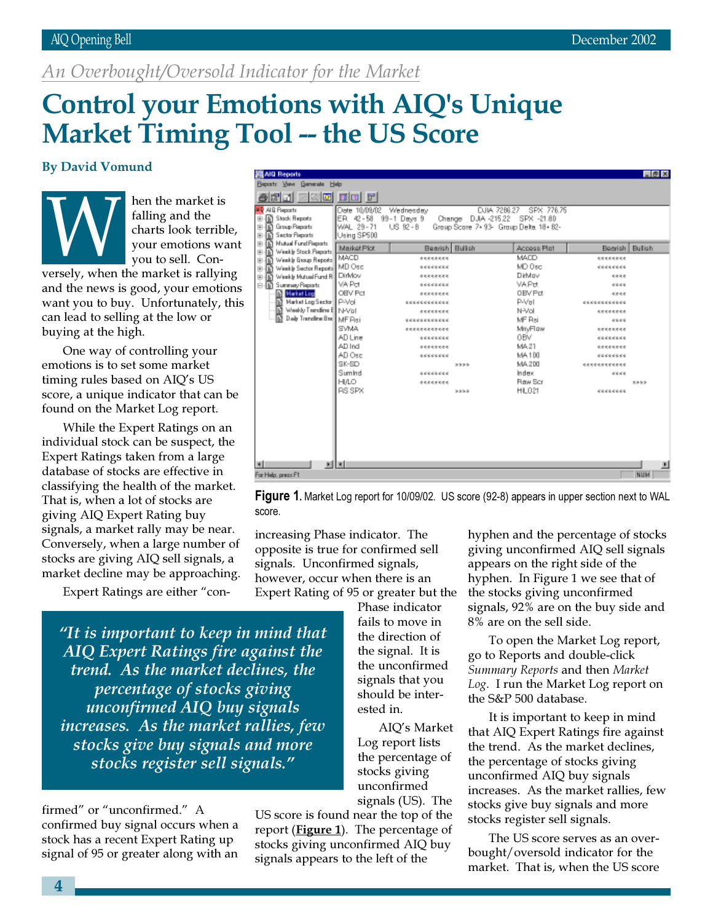# An Overbought/Oversold Indicator for the Market

# Control your Emotions with AIQ's Unique **Market Timing Tool -- the US Score**

#### By David Vomund



hen the market is falling and the charts look terrible, your emotions want you to sell. Con-**VERGENT THE METANET IS FALLING THE MATHEM**<br>
your emotions wan<br>
you to sell. Conversely, when the market is rallying

and the news is good, your emotions want you to buy. Unfortunately, this can lead to selling at the low or buying at the high.

One way of controlling your emotions is to set some market timing rules based on AIQ's US score, a unique indicator that can be found on the Market Log report.

While the Expert Ratings on an individual stock can be suspect, the Expert Ratings taken from a large database of stocks are effective in classifying the health of the market. That is, when a lot of stocks are giving AIQ Expert Rating buy signals, a market rally may be near. Conversely, when a large number of stocks are giving AIQ sell signals, a market decline may be approaching.

Expert Ratings are either "con-

| <b>SILAID Reports</b>                                                                                                                        |                                                                              |                                                                  |                              |                                                                                   |                                         | $-6x$ |
|----------------------------------------------------------------------------------------------------------------------------------------------|------------------------------------------------------------------------------|------------------------------------------------------------------|------------------------------|-----------------------------------------------------------------------------------|-----------------------------------------|-------|
| Beparts View Generate Help                                                                                                                   |                                                                              |                                                                  |                              |                                                                                   |                                         |       |
| 866 EKG 00 F                                                                                                                                 |                                                                              |                                                                  |                              |                                                                                   |                                         |       |
| MP AID Reports<br>Stack Reports<br>由<br>Group Reports<br>田<br><b>Sector Reports</b><br>围<br>Mutual Fund Reports<br>围<br>Weekly Stock Reports | Date 10/09/02<br>$42 - 58$<br>ER.<br>WAL 29-71<br>Using SP500<br>Market Plot | Wednesday<br>99-1 Days 9<br>Change<br>US 82-B<br>Bearish Bullish | DJIA 7286.27<br>DJJA -215.22 | SPX 778.76<br>SPX -21.80<br>Group Score 7+ 93- Group Delta 18+ 62-<br>Access Plat | Bearish Bullish                         |       |
| 围<br>Weekly Exoup Reports<br>围<br>Weekly Sector Reports MD Osc<br>田                                                                          | MACD                                                                         | execcec<br>*******                                               |                              | MACD<br>MD 0sc                                                                    | eccecce<br>*******                      |       |
| Weekly Mutual Fund Rill DirMov<br>田<br>Summary Reports<br>佰<br>Ė<br><b>Market Log</b>                                                        | VA Pot<br>OBV Pct                                                            | execcec<br>********<br>********                                  |                              | DirMay<br>VAPut<br><b>OBV Prt</b>                                                 | 电影电视<br>6666<br>4244                    |       |
| ת<br>ת<br>Market Log Sector   P-Vol<br>Weekly Trendine E N-Val<br>Daily Trendine Bea                                                         | MF Psi                                                                       | 66666666666<br>execcec<br>***********                            |                              | P-Vol<br>N-Vol<br>MF Rsi                                                          | <br>电影电影电影电影<br>6666                    |       |
|                                                                                                                                              | <b>SVMA</b><br><b>AD Line</b><br>AD Ind                                      | <br>********<br>                                                 |                              | MnyFlow<br>0BV<br>MA 21                                                           | ********<br><b>CECECECE</b><br>******** |       |
|                                                                                                                                              | AD Osc<br>SK-SD                                                              | 4444444<br>3535                                                  |                              | MA100<br>MA 200                                                                   | *******<br><b><i>REEEEEEEEE</i></b>     |       |
|                                                                                                                                              | Sumind<br><b>HI/LO</b><br><b>PIS SPX</b>                                     | ********<br>********                                             | 3.33.3                       | Index<br><b>Raw Scr</b><br>HL021                                                  | 6969<br>66666666                        | 5353  |
|                                                                                                                                              |                                                                              |                                                                  |                              |                                                                                   |                                         |       |
| н<br>$\blacksquare$                                                                                                                          | Tы                                                                           |                                                                  |                              |                                                                                   |                                         | F     |
| For Help, press F1                                                                                                                           |                                                                              |                                                                  |                              |                                                                                   |                                         | NUM   |

Figure 1. Market Log report for 10/09/02. US score (92-8) appears in upper section next to WAL score.

increasing Phase indicator. The opposite is true for confirmed sell signals. Unconfirmed signals, however, occur when there is an Expert Rating of 95 or greater but the

"It is important to keep in mind that AIQ Expert Ratings fire against the trend. As the market declines, the percentage of stocks giving unconfirmed AIQ buy signals increases. As the market rallies, few stocks give buy signals and more stocks register sell signals."

firmed" or "unconfirmed." A confirmed buy signal occurs when a stock has a recent Expert Rating up signal of 95 or greater along with an

Phase indicator fails to move in the direction of the signal. It is the unconfirmed signals that you should be interested in.

AIQ's Market Log report lists the percentage of stocks giving unconfirmed signals (US). The

US score is found near the top of the report (**Figure 1**). The percentage of stocks giving unconfirmed AIQ buy signals appears to the left of the

hyphen and the percentage of stocks giving unconfirmed AIQ sell signals appears on the right side of the hyphen. In Figure 1 we see that of the stocks giving unconfirmed signals, 92% are on the buy side and 8% are on the sell side.

To open the Market Log report, go to Reports and double-click Summary Reports and then Market Log. I run the Market Log report on the S&P 500 database.

It is important to keep in mind that AIQ Expert Ratings fire against the trend. As the market declines, the percentage of stocks giving unconfirmed AIQ buy signals increases. As the market rallies, few stocks give buy signals and more stocks register sell signals.

The US score serves as an overbought/oversold indicator for the market. That is, when the US score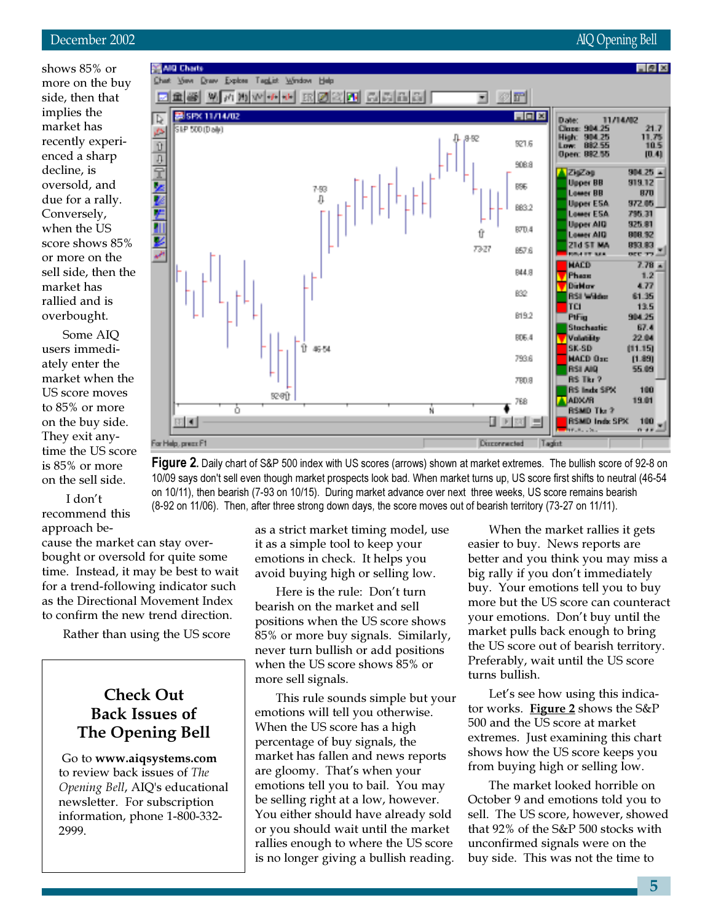#### December 2002 AIQ Opening Bell

e, the<br>plies<br>rket<br>:ently<br>ced a<br>cline, shows 85% or more on the buy side, then that implies the market has recently experienced a sharp decline, is oversold, and due for a rally. Conversely, when the US score shows 85% or more on the sell side, then the market has rallied and is overbought.

Some AIQ users immediately enter the market when the US score moves to 85% or more on the buy side. They exit anytime the US score is 85% or more on the sell side.

 I don't recommend this approach be-

cause the market can stay overbought or oversold for quite some time. Instead, it may be best to wait for a trend-following indicator such as the Directional Movement Index to confirm the new trend direction.

Rather than using the US score

## Check Out Back Issues of The Opening Bell

 Go to www.aiqsystems.com to review back issues of The Opening Bell, AIQ's educational newsletter. For subscription information, phone 1-800-332- 2999.



Figure 2. Daily chart of S&P 500 index with US scores (arrows) shown at market extremes. The bullish score of 92-8 on 10/09 says don't sell even though market prospects look bad. When market turns up, US score first shifts to neutral (46-54 on 10/11), then bearish (7-93 on 10/15). During market advance over next three weeks, US score remains bearish (8-92 on 11/06). Then, after three strong down days, the score moves out of bearish territory (73-27 on 11/11).

> as a strict market timing model, use it as a simple tool to keep your emotions in check. It helps you avoid buying high or selling low.

> Here is the rule: Don't turn bearish on the market and sell positions when the US score shows 85% or more buy signals. Similarly, never turn bullish or add positions when the US score shows 85% or more sell signals.

This rule sounds simple but your emotions will tell you otherwise. When the US score has a high percentage of buy signals, the market has fallen and news reports are gloomy. That's when your emotions tell you to bail. You may be selling right at a low, however. You either should have already sold or you should wait until the market rallies enough to where the US score is no longer giving a bullish reading.

When the market rallies it gets easier to buy. News reports are better and you think you may miss a big rally if you don't immediately buy. Your emotions tell you to buy more but the US score can counteract your emotions. Don't buy until the market pulls back enough to bring the US score out of bearish territory. Preferably, wait until the US score turns bullish.

Let's see how using this indicator works. Figure 2 shows the S&P 500 and the US score at market extremes. Just examining this chart shows how the US score keeps you from buying high or selling low.

The market looked horrible on October 9 and emotions told you to sell. The US score, however, showed that 92% of the S&P 500 stocks with unconfirmed signals were on the buy side. This was not the time to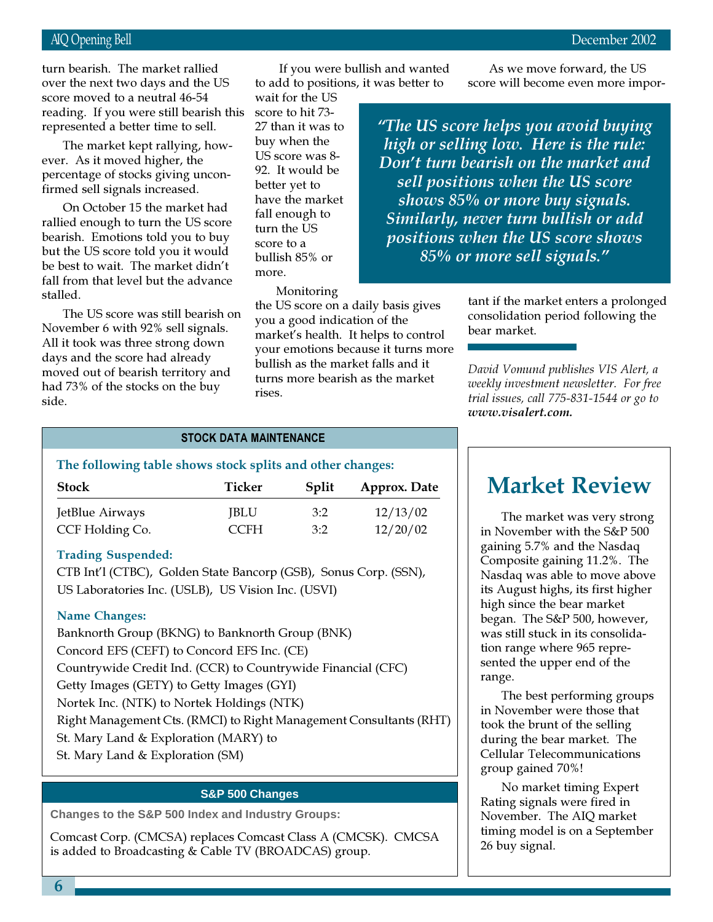#### AIQ Opening Bell December 2002

reading. If you were still bearish this turn bearish. The market rallied over the next two days and the US score moved to a neutral 46-54 represented a better time to sell.

The market kept rallying, however. As it moved higher, the percentage of stocks giving unconfirmed sell signals increased.

On October 15 the market had rallied enough to turn the US score bearish. Emotions told you to buy but the US score told you it would be best to wait. The market didn't fall from that level but the advance stalled.

The US score was still bearish on November 6 with 92% sell signals. All it took was three strong down days and the score had already moved out of bearish territory and had 73% of the stocks on the buy side.

 If you were bullish and wanted to add to positions, it was better to

wait for the US score to hit 73- 27 than it was to buy when the US score was 8- 92. It would be better yet to have the market fall enough to turn the US score to a bullish 85% or more.

Monitoring

the US score on a daily basis gives you a good indication of the market's health. It helps to control your emotions because it turns more bullish as the market falls and it turns more bearish as the market rises.

As we move forward, the US score will become even more impor-

"The US score helps you avoid buying high or selling low. Here is the rule: Don't turn bearish on the market and sell positions when the US score shows 85% or more buy signals. Similarly, never turn bullish or add positions when the US score shows 85% or more sell signals."

> tant if the market enters a prolonged consolidation period following the bear market.

David Vomund publishes VIS Alert, a weekly investment newsletter. For free trial issues, call 775-831-1544 or go to www.visalert.com.

#### STOCK DATA MAINTENANCE

#### The following table shows stock splits and other changes:

| <b>Stock</b>    | Ticker      | Split | Approx. Date |
|-----------------|-------------|-------|--------------|
| JetBlue Airways | <b>IBLU</b> | 3:2   | 12/13/02     |
| CCF Holding Co. | <b>CCFH</b> | 3:2   | 12/20/02     |

#### Trading Suspended:

CTB Int'l (CTBC), Golden State Bancorp (GSB), Sonus Corp. (SSN), US Laboratories Inc. (USLB), US Vision Inc. (USVI)

#### Name Changes:

Banknorth Group (BKNG) to Banknorth Group (BNK) Concord EFS (CEFT) to Concord EFS Inc. (CE) Countrywide Credit Ind. (CCR) to Countrywide Financial (CFC) Getty Images (GETY) to Getty Images (GYI) Nortek Inc. (NTK) to Nortek Holdings (NTK) Right Management Cts. (RMCI) to Right Management Consultants (RHT) St. Mary Land & Exploration (MARY) to St. Mary Land & Exploration (SM)

#### **S&P 500 Changes**

**Changes to the S&P 500 Index and Industry Groups:**

Comcast Corp. (CMCSA) replaces Comcast Class A (CMCSK). CMCSA is added to Broadcasting & Cable TV (BROADCAS) group.

# Market Review

The market was very strong in November with the S&P 500 gaining 5.7% and the Nasdaq Composite gaining 11.2%. The Nasdaq was able to move above its August highs, its first higher high since the bear market began. The S&P 500, however, was still stuck in its consolidation range where 965 represented the upper end of the range.

The best performing groups in November were those that took the brunt of the selling during the bear market. The Cellular Telecommunications group gained 70%!

No market timing Expert Rating signals were fired in November. The AIQ market timing model is on a September 26 buy signal.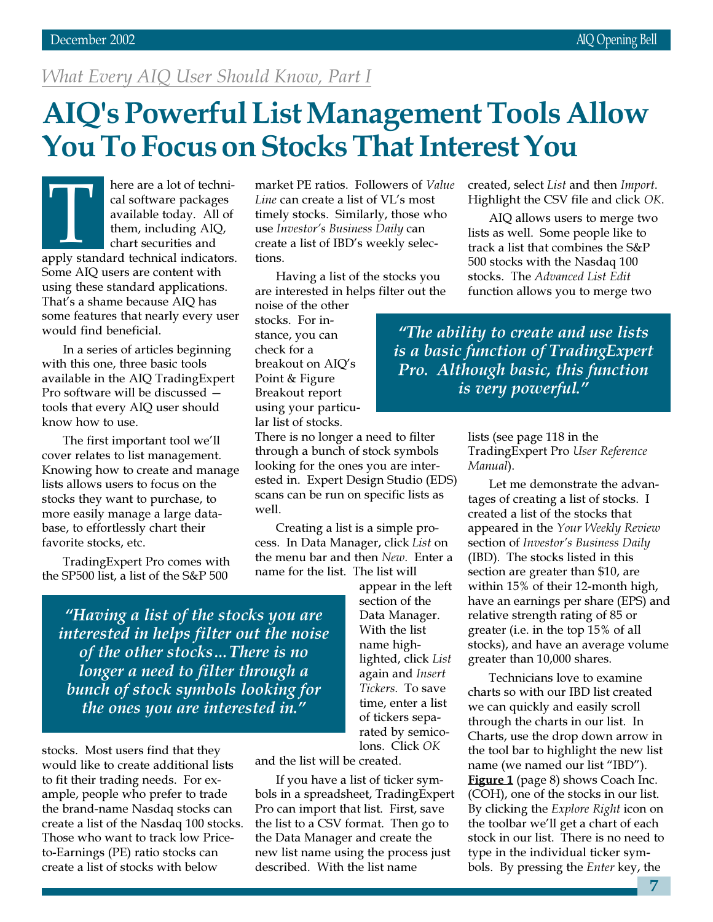# What Every AIQ User Should Know, Part I

# AIQ's Powerful List Management Tools Allow You To Focus on Stocks That Interest You

here are a lot of technical software packages available today. All of them, including AIQ, chart securities and apply standard technical indicators. Some AIQ users are content with using these standard applications. That's a shame because AIQ has some features that nearly every user would find beneficial.

In a series of articles beginning with this one, three basic tools available in the AIQ TradingExpert Pro software will be discussed tools that every AIQ user should know how to use.

The first important tool we'll cover relates to list management. Knowing how to create and manage lists allows users to focus on the stocks they want to purchase, to more easily manage a large database, to effortlessly chart their favorite stocks, etc.

TradingExpert Pro comes with the SP500 list, a list of the S&P 500

here are a lot of techni-<br>
cal software packages<br>
available today. All of<br>
timely stocks. Similarly, those who<br>
them, including AIQ,<br>
chart securities and<br>
create a list of IBD's weekly selec-<br>
pply standard technical indi Line can create a list of VL's most timely stocks. Similarly, those who use Investor's Business Daily can create a list of IBD's weekly selections.

> Having a list of the stocks you are interested in helps filter out the

noise of the other stocks. For instance, you can check for a breakout on AIQ's Point & Figure Breakout report using your particular list of stocks.

There is no longer a need to filter through a bunch of stock symbols looking for the ones you are interested in. Expert Design Studio (EDS) scans can be run on specific lists as well.

Creating a list is a simple process. In Data Manager, click List on the menu bar and then New. Enter a name for the list. The list will

"Having a list of the stocks you are interested in helps filter out the noise of the other stocks…There is no longer a need to filter through a bunch of stock symbols looking for the ones you are interested in."

stocks. Most users find that they would like to create additional lists to fit their trading needs. For example, people who prefer to trade the brand-name Nasdaq stocks can create a list of the Nasdaq 100 stocks. Those who want to track low Priceto-Earnings (PE) ratio stocks can create a list of stocks with below

and the list will be created.

If you have a list of ticker symbols in a spreadsheet, TradingExpert Pro can import that list. First, save the list to a CSV format. Then go to the Data Manager and create the new list name using the process just described. With the list name

created, select List and then Import. Highlight the CSV file and click OK.

AIQ allows users to merge two lists as well. Some people like to track a list that combines the S&P 500 stocks with the Nasdaq 100 stocks. The Advanced List Edit function allows you to merge two

"The ability to create and use lists is a basic function of TradingExpert Pro. Although basic, this function is very powerful."

> lists (see page 118 in the TradingExpert Pro User Reference Manual).

Let me demonstrate the advantages of creating a list of stocks. I created a list of the stocks that appeared in the Your Weekly Review section of Investor's Business Daily (IBD). The stocks listed in this section are greater than \$10, are within 15% of their 12-month high, have an earnings per share (EPS) and relative strength rating of 85 or greater (i.e. in the top 15% of all stocks), and have an average volume greater than 10,000 shares.

Technicians love to examine charts so with our IBD list created we can quickly and easily scroll through the charts in our list. In Charts, use the drop down arrow in the tool bar to highlight the new list name (we named our list "IBD"). **Figure 1** (page 8) shows Coach Inc. (COH), one of the stocks in our list. By clicking the Explore Right icon on the toolbar we'll get a chart of each stock in our list. There is no need to type in the individual ticker symbols. By pressing the Enter key, the

appear in the left section of the Data Manager. With the list name highlighted, click List again and Insert Tickers. To save time, enter a list of tickers separated by semicolons. Click OK